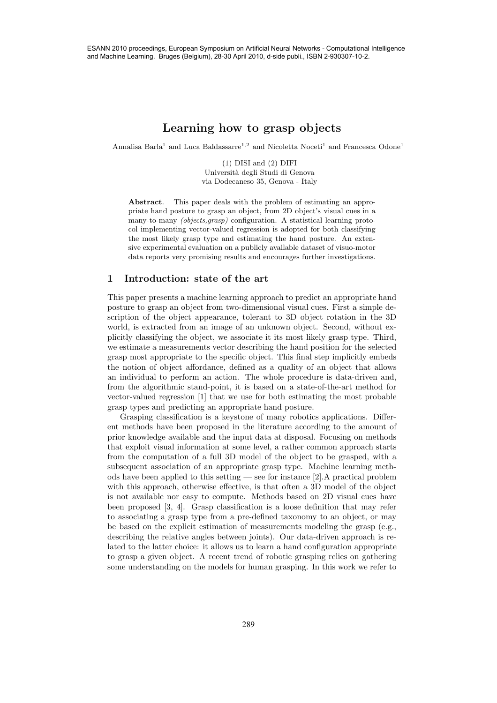# Learning how to grasp objects

Annalisa Barla<sup>1</sup> and Luca Baldassarre<sup>1,2</sup> and Nicoletta Noceti<sup>1</sup> and Francesca Odone<sup>1</sup>

(1) DISI and (2) DIFI Universit`a degli Studi di Genova via Dodecaneso 35, Genova - Italy

Abstract. This paper deals with the problem of estimating an appropriate hand posture to grasp an object, from 2D object's visual cues in a many-to-many (objects,grasp) configuration. A statistical learning protocol implementing vector-valued regression is adopted for both classifying the most likely grasp type and estimating the hand posture. An extensive experimental evaluation on a publicly available dataset of visuo-motor data reports very promising results and encourages further investigations.

## 1 Introduction: state of the art

This paper presents a machine learning approach to predict an appropriate hand posture to grasp an object from two-dimensional visual cues. First a simple description of the object appearance, tolerant to 3D object rotation in the 3D world, is extracted from an image of an unknown object. Second, without explicitly classifying the object, we associate it its most likely grasp type. Third, we estimate a measurements vector describing the hand position for the selected grasp most appropriate to the specific object. This final step implicitly embeds the notion of object affordance, defined as a quality of an object that allows an individual to perform an action. The whole procedure is data-driven and, from the algorithmic stand-point, it is based on a state-of-the-art method for vector-valued regression [1] that we use for both estimating the most probable grasp types and predicting an appropriate hand posture.

Grasping classification is a keystone of many robotics applications. Different methods have been proposed in the literature according to the amount of prior knowledge available and the input data at disposal. Focusing on methods that exploit visual information at some level, a rather common approach starts from the computation of a full 3D model of the object to be grasped, with a subsequent association of an appropriate grasp type. Machine learning methods have been applied to this setting — see for instance [2].A practical problem with this approach, otherwise effective, is that often a 3D model of the object is not available nor easy to compute. Methods based on 2D visual cues have been proposed [3, 4]. Grasp classification is a loose definition that may refer to associating a grasp type from a pre-defined taxonomy to an object, or may be based on the explicit estimation of measurements modeling the grasp (e.g., describing the relative angles between joints). Our data-driven approach is related to the latter choice: it allows us to learn a hand configuration appropriate to grasp a given object. A recent trend of robotic grasping relies on gathering some understanding on the models for human grasping. In this work we refer to 28888 ESP (289 ESP) and Leaven Symposium on Artificial Neural Networks - Computers - Computers - Computers - Computers - Computers - Computers - Computers - Computers - Computers - Computers - Computers - Computers - Comp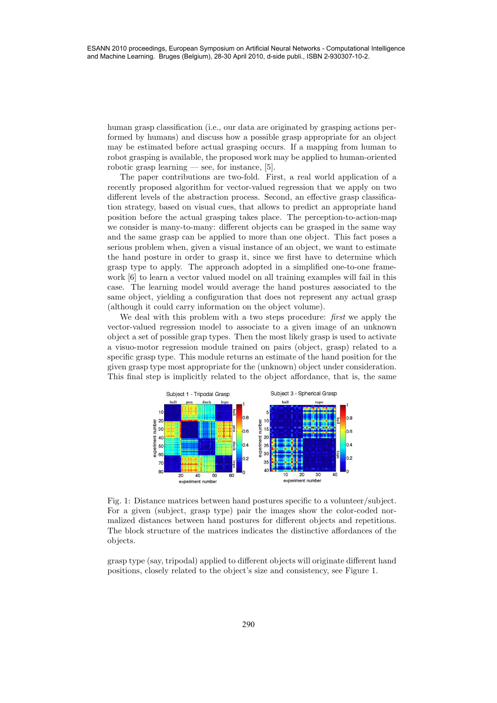human grasp classification (i.e., our data are originated by grasping actions performed by humans) and discuss how a possible grasp appropriate for an object may be estimated before actual grasping occurs. If a mapping from human to robot grasping is available, the proposed work may be applied to human-oriented robotic grasp learning — see, for instance, [5].

The paper contributions are two-fold. First, a real world application of a recently proposed algorithm for vector-valued regression that we apply on two different levels of the abstraction process. Second, an effective grasp classification strategy, based on visual cues, that allows to predict an appropriate hand position before the actual grasping takes place. The perception-to-action-map we consider is many-to-many: different objects can be grasped in the same way and the same grasp can be applied to more than one object. This fact poses a serious problem when, given a visual instance of an object, we want to estimate the hand posture in order to grasp it, since we first have to determine which grasp type to apply. The approach adopted in a simplified one-to-one framework [6] to learn a vector valued model on all training examples will fail in this case. The learning model would average the hand postures associated to the same object, yielding a configuration that does not represent any actual grasp (although it could carry information on the object volume). 2900 ESAN 2010 proceedings, European Symposium of Artificial Neural Neural Networks - Computers - Computers - Computation (i.e., and a statistical Neural Networks - Computation (i.e., and a statistical Networks - Computat

We deal with this problem with a two steps procedure: first we apply the vector-valued regression model to associate to a given image of an unknown object a set of possible grap types. Then the most likely grasp is used to activate a visuo-motor regression module trained on pairs (object, grasp) related to a specific grasp type. This module returns an estimate of the hand position for the given grasp type most appropriate for the (unknown) object under consideration. This final step is implicitly related to the object affordance, that is, the same



Fig. 1: Distance matrices between hand postures specific to a volunteer/subject. For a given (subject, grasp type) pair the images show the color-coded normalized distances between hand postures for different objects and repetitions. The block structure of the matrices indicates the distinctive affordances of the objects.

grasp type (say, tripodal) applied to different objects will originate different hand positions, closely related to the object's size and consistency, see Figure 1.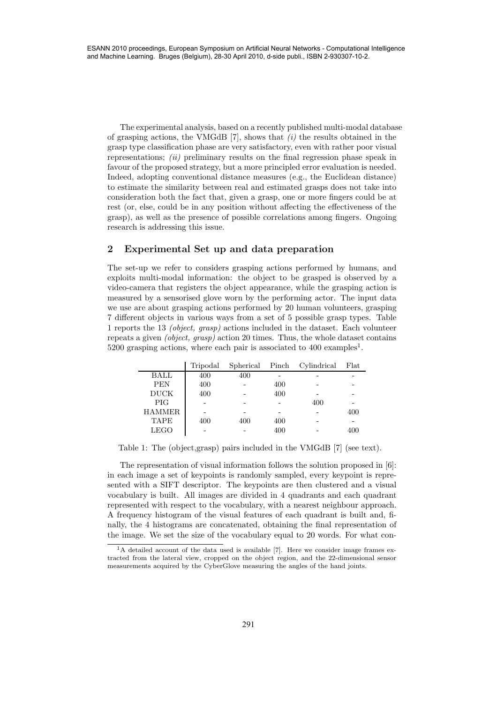The experimental analysis, based on a recently published multi-modal database of grasping actions, the VMGdB  $[7]$ , shows that  $(i)$  the results obtained in the grasp type classification phase are very satisfactory, even with rather poor visual representations; *(ii)* preliminary results on the final regression phase speak in favour of the proposed strategy, but a more principled error evaluation is needed. Indeed, adopting conventional distance measures (e.g., the Euclidean distance) to estimate the similarity between real and estimated grasps does not take into consideration both the fact that, given a grasp, one or more fingers could be at rest (or, else, could be in any position without affecting the effectiveness of the grasp), as well as the presence of possible correlations among fingers. Ongoing research is addressing this issue. 291 ESANN 2010 proceedings, European Symposium on Artificial Neural Networks - Computational Intelligence

# 2 Experimental Set up and data preparation

The set-up we refer to considers grasping actions performed by humans, and exploits multi-modal information: the object to be grasped is observed by a video-camera that registers the object appearance, while the grasping action is measured by a sensorised glove worn by the performing actor. The input data we use are about grasping actions performed by 20 human volunteers, grasping 7 different objects in various ways from a set of 5 possible grasp types. Table 1 reports the 13 (object, grasp) actions included in the dataset. Each volunteer repeats a given (object, grasp) action 20 times. Thus, the whole dataset contains 5200 grasping actions, where each pair is associated to 400 examples<sup>1</sup>.

|               | Tripodal | Spherical Pinch |     | Cylindrical | Flat |
|---------------|----------|-----------------|-----|-------------|------|
| <b>BALL</b>   | 400      | 400             |     |             |      |
| <b>PEN</b>    | 400      |                 | 400 |             |      |
| <b>DUCK</b>   | 400      |                 | 400 |             |      |
| <b>PIG</b>    |          |                 |     | 400         |      |
| <b>HAMMER</b> |          |                 |     |             | 400  |
| <b>TAPE</b>   | 400      | 400             | 400 |             |      |
| <b>LEGO</b>   |          |                 | 400 |             | 400  |

Table 1: The (object,grasp) pairs included in the VMGdB [7] (see text).

The representation of visual information follows the solution proposed in [6]: in each image a set of keypoints is randomly sampled, every keypoint is represented with a SIFT descriptor. The keypoints are then clustered and a visual vocabulary is built. All images are divided in 4 quadrants and each quadrant represented with respect to the vocabulary, with a nearest neighbour approach. A frequency histogram of the visual features of each quadrant is built and, finally, the 4 histograms are concatenated, obtaining the final representation of the image. We set the size of the vocabulary equal to 20 words. For what con-

 $1$ A detailed account of the data used is available [7]. Here we consider image frames extracted from the lateral view, cropped on the object region, and the 22-dimensional sensor measurements acquired by the CyberGlove measuring the angles of the hand joints.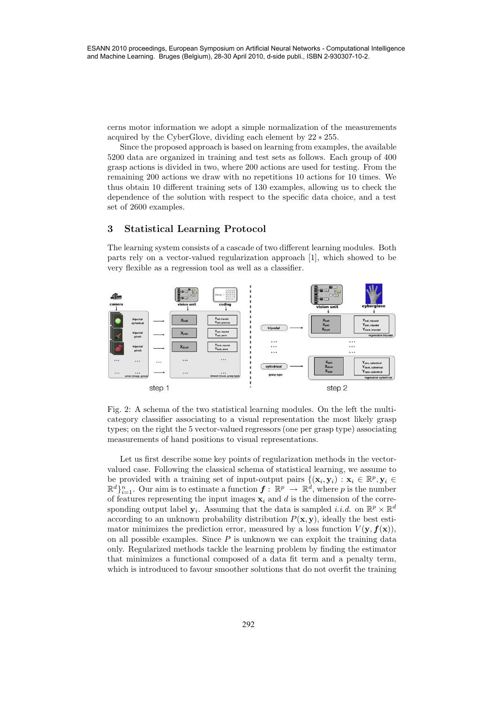cerns motor information we adopt a simple normalization of the measurements acquired by the CyberGlove, dividing each element by 22 ∗ 255.

Since the proposed approach is based on learning from examples, the available 5200 data are organized in training and test sets as follows. Each group of 400 grasp actions is divided in two, where 200 actions are used for testing. From the remaining 200 actions we draw with no repetitions 10 actions for 10 times. We thus obtain 10 different training sets of 130 examples, allowing us to check the dependence of the solution with respect to the specific data choice, and a test set of 2600 examples.

# 3 Statistical Learning Protocol

The learning system consists of a cascade of two different learning modules. Both parts rely on a vector-valued regularization approach [1], which showed to be very flexible as a regression tool as well as a classifier.



Fig. 2: A schema of the two statistical learning modules. On the left the multicategory classifier associating to a visual representation the most likely grasp types; on the right the 5 vector-valued regressors (one per grasp type) associating measurements of hand positions to visual representations.

Let us first describe some key points of regularization methods in the vectorvalued case. Following the classical schema of statistical learning, we assume to be provided with a training set of input-output pairs  $\{(\mathbf{x}_i, \mathbf{y}_i) : \mathbf{x}_i \in \mathbb{R}^p, \mathbf{y}_i \in$  $\mathbb{R}^d\}_{i=1}^n$ . Our aim is to estimate a function  $\boldsymbol{f}: \mathbb{R}^p \to \mathbb{R}^d$ , where p is the number of features representing the input images  $x_i$  and d is the dimension of the corresponding output label  $\mathbf{y}_i$ . Assuming that the data is sampled *i.i.d.* on  $\mathbb{R}^p \times \mathbb{R}^d$ according to an unknown probability distribution  $P(\mathbf{x}, \mathbf{y})$ , ideally the best estimator minimizes the prediction error, measured by a loss function  $V(\mathbf{y}, f(\mathbf{x}))$ , on all possible examples. Since  $P$  is unknown we can exploit the training data only. Regularized methods tackle the learning problem by finding the estimator that minimizes a functional composed of a data fit term and a penalty term, which is introduced to favour smoother solutions that do not overfit the training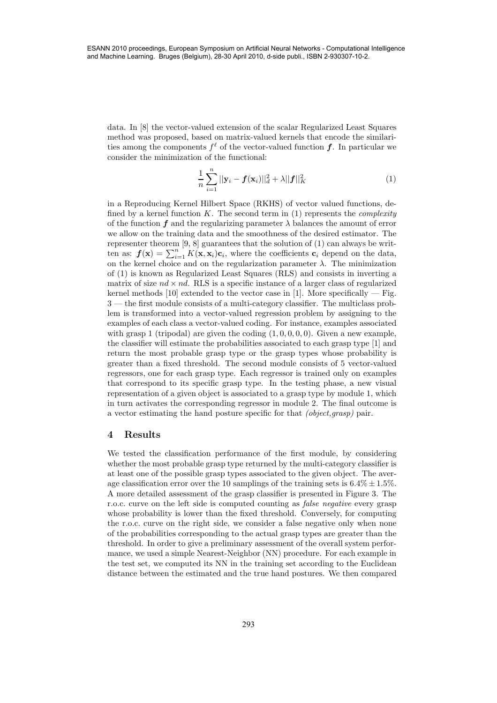data. In [8] the vector-valued extension of the scalar Regularized Least Squares method was proposed, based on matrix-valued kernels that encode the similarities among the components  $f^{\ell}$  of the vector-valued function  $f$ . In particular we consider the minimization of the functional:

$$
\frac{1}{n}\sum_{i=1}^{n}||\mathbf{y}_{i}-\boldsymbol{f}(\mathbf{x}_{i})||_{d}^{2}+\lambda||\boldsymbol{f}||_{K}^{2}
$$
\n(1)

in a Reproducing Kernel Hilbert Space (RKHS) of vector valued functions, defined by a kernel function  $K$ . The second term in  $(1)$  represents the *complexity* of the function f and the regularizing parameter  $\lambda$  balances the amount of error we allow on the training data and the smoothness of the desired estimator. The representer theorem [9, 8] guarantees that the solution of (1) can always be written as:  $f(\mathbf{x}) = \sum_{i=1}^{n} K(\mathbf{x}, \mathbf{x}_i) c_i$ , where the coefficients  $c_i$  depend on the data, on the kernel choice and on the regularization parameter  $\lambda$ . The minimization of (1) is known as Regularized Least Squares (RLS) and consists in inverting a matrix of size  $nd \times nd$ . RLS is a specific instance of a larger class of regularized kernel methods  $[10]$  extended to the vector case in  $[1]$ . More specifically — Fig. 3 — the first module consists of a multi-category classifier. The multiclass problem is transformed into a vector-valued regression problem by assigning to the examples of each class a vector-valued coding. For instance, examples associated with grasp 1 (tripodal) are given the coding  $(1, 0, 0, 0, 0)$ . Given a new example, the classifier will estimate the probabilities associated to each grasp type [1] and return the most probable grasp type or the grasp types whose probability is greater than a fixed threshold. The second module consists of 5 vector-valued regressors, one for each grasp type. Each regressor is trained only on examples that correspond to its specific grasp type. In the testing phase, a new visual representation of a given object is associated to a grasp type by module 1, which in turn activates the corresponding regressor in module 2. The final outcome is a vector estimating the hand posture specific for that (object,grasp) pair. 2938 Estimate the method is the second of the second of the second intelligence of the method intelligence of the second of the method interligence of the second of the method of the method of the method intelligence of t

#### 4 Results

We tested the classification performance of the first module, by considering whether the most probable grasp type returned by the multi-category classifier is at least one of the possible grasp types associated to the given object. The average classification error over the 10 samplings of the training sets is  $6.4\% \pm 1.5\%$ . A more detailed assessment of the grasp classifier is presented in Figure 3. The r.o.c. curve on the left side is computed counting as *false negative* every grasp whose probability is lower than the fixed threshold. Conversely, for computing the r.o.c. curve on the right side, we consider a false negative only when none of the probabilities corresponding to the actual grasp types are greater than the threshold. In order to give a preliminary assessment of the overall system performance, we used a simple Nearest-Neighbor (NN) procedure. For each example in the test set, we computed its NN in the training set according to the Euclidean distance between the estimated and the true hand postures. We then compared